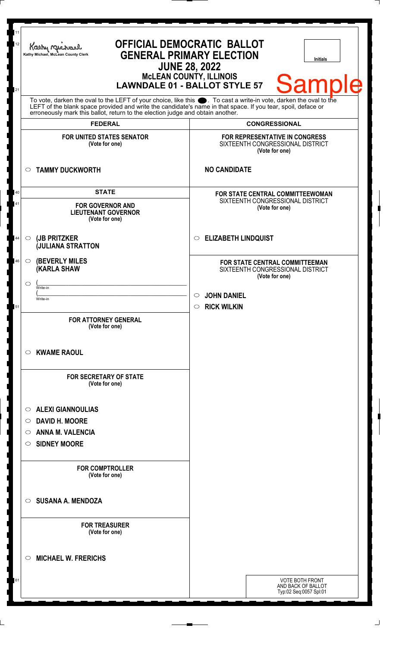| To vote, darken the oval to the LEFT of your choice, like this $\bullet$ . To cast a write-in vote, darken the oval to the LEFT of the blank space provided and write the candidate's name in that space. If you tear, spoil, deface<br>erroneously mark this ballot, return to the election judge and obtain another.<br><b>CONGRESSIONAL</b><br><b>FEDERAL</b><br><b>FOR UNITED STATES SENATOR</b><br>FOR REPRESENTATIVE IN CONGRESS<br>(Vote for one)<br>SIXTEENTH CONGRESSIONAL DISTRICT<br>(Vote for one)<br><b>NO CANDIDATE</b><br><b>TAMMY DUCKWORTH</b><br>$\circ$<br><b>STATE</b><br>40<br><b>FOR STATE CENTRAL COMMITTEEWOMAN</b><br>SIXTEENTH CONGRESSIONAL DISTRICT<br>41<br><b>FOR GOVERNOR AND</b><br>(Vote for one)<br><b>LIEUTENANT GOVERNOR</b><br>(Vote for one)<br><b>ELIZABETH LINDQUIST</b><br>(JB PRITZKER<br>44<br>$\circ$<br>$\circ$<br><b>JULIANA STRATTON</b><br><b>(BEVERLY MILES)</b><br>46<br>$\circ$<br><b>FOR STATE CENTRAL COMMITTEEMAN</b><br><b>(KARLA SHAW</b><br>SIXTEENTH CONGRESSIONAL DISTRICT<br>(Vote for one)<br>◯<br>Write-in<br><b>JOHN DANIEL</b><br>$\circ$<br>Write-in<br><b>RICK WILKIN</b><br>$\circ$<br>51<br><b>FOR ATTORNEY GENERAL</b><br>(Vote for one)<br><b>KWAME RAOUL</b><br>O<br><b>FOR SECRETARY OF STATE</b><br>(Vote for one)<br><b>ALEXI GIANNOULIAS</b><br>O<br><b>DAVID H. MOORE</b><br>$\circ$<br><b>ANNA M. VALENCIA</b><br>O<br><b>SIDNEY MOORE</b><br>$\circ$<br><b>FOR COMPTROLLER</b><br>(Vote for one)<br><b>SUSANA A. MENDOZA</b><br>$\circ$<br><b>FOR TREASURER</b> | 11<br>12<br>Kathy Muc<br>21 | Kathy Michael, McLean County Clerk | <b>OFFICIAL DEMOCRATIC BALLOT</b><br><b>GENERAL PRIMARY ELECTION</b><br><b>JUNE 28, 2022</b><br><b>MCLEAN COUNTY, ILLINOIS</b><br><b>LAWNDALE 01 - BALLOT STYLE 57</b> |  | <b>Initials</b> | <b>Sample</b> |  |
|-----------------------------------------------------------------------------------------------------------------------------------------------------------------------------------------------------------------------------------------------------------------------------------------------------------------------------------------------------------------------------------------------------------------------------------------------------------------------------------------------------------------------------------------------------------------------------------------------------------------------------------------------------------------------------------------------------------------------------------------------------------------------------------------------------------------------------------------------------------------------------------------------------------------------------------------------------------------------------------------------------------------------------------------------------------------------------------------------------------------------------------------------------------------------------------------------------------------------------------------------------------------------------------------------------------------------------------------------------------------------------------------------------------------------------------------------------------------------------------------------------------------------------------------------|-----------------------------|------------------------------------|------------------------------------------------------------------------------------------------------------------------------------------------------------------------|--|-----------------|---------------|--|
|                                                                                                                                                                                                                                                                                                                                                                                                                                                                                                                                                                                                                                                                                                                                                                                                                                                                                                                                                                                                                                                                                                                                                                                                                                                                                                                                                                                                                                                                                                                                               |                             |                                    |                                                                                                                                                                        |  |                 |               |  |
|                                                                                                                                                                                                                                                                                                                                                                                                                                                                                                                                                                                                                                                                                                                                                                                                                                                                                                                                                                                                                                                                                                                                                                                                                                                                                                                                                                                                                                                                                                                                               |                             |                                    |                                                                                                                                                                        |  |                 |               |  |
|                                                                                                                                                                                                                                                                                                                                                                                                                                                                                                                                                                                                                                                                                                                                                                                                                                                                                                                                                                                                                                                                                                                                                                                                                                                                                                                                                                                                                                                                                                                                               |                             |                                    |                                                                                                                                                                        |  |                 |               |  |
|                                                                                                                                                                                                                                                                                                                                                                                                                                                                                                                                                                                                                                                                                                                                                                                                                                                                                                                                                                                                                                                                                                                                                                                                                                                                                                                                                                                                                                                                                                                                               |                             |                                    |                                                                                                                                                                        |  |                 |               |  |
|                                                                                                                                                                                                                                                                                                                                                                                                                                                                                                                                                                                                                                                                                                                                                                                                                                                                                                                                                                                                                                                                                                                                                                                                                                                                                                                                                                                                                                                                                                                                               |                             |                                    |                                                                                                                                                                        |  |                 |               |  |
|                                                                                                                                                                                                                                                                                                                                                                                                                                                                                                                                                                                                                                                                                                                                                                                                                                                                                                                                                                                                                                                                                                                                                                                                                                                                                                                                                                                                                                                                                                                                               |                             |                                    |                                                                                                                                                                        |  |                 |               |  |
|                                                                                                                                                                                                                                                                                                                                                                                                                                                                                                                                                                                                                                                                                                                                                                                                                                                                                                                                                                                                                                                                                                                                                                                                                                                                                                                                                                                                                                                                                                                                               |                             |                                    |                                                                                                                                                                        |  |                 |               |  |
|                                                                                                                                                                                                                                                                                                                                                                                                                                                                                                                                                                                                                                                                                                                                                                                                                                                                                                                                                                                                                                                                                                                                                                                                                                                                                                                                                                                                                                                                                                                                               |                             |                                    |                                                                                                                                                                        |  |                 |               |  |
|                                                                                                                                                                                                                                                                                                                                                                                                                                                                                                                                                                                                                                                                                                                                                                                                                                                                                                                                                                                                                                                                                                                                                                                                                                                                                                                                                                                                                                                                                                                                               |                             |                                    |                                                                                                                                                                        |  |                 |               |  |
|                                                                                                                                                                                                                                                                                                                                                                                                                                                                                                                                                                                                                                                                                                                                                                                                                                                                                                                                                                                                                                                                                                                                                                                                                                                                                                                                                                                                                                                                                                                                               |                             |                                    |                                                                                                                                                                        |  |                 |               |  |
|                                                                                                                                                                                                                                                                                                                                                                                                                                                                                                                                                                                                                                                                                                                                                                                                                                                                                                                                                                                                                                                                                                                                                                                                                                                                                                                                                                                                                                                                                                                                               |                             |                                    |                                                                                                                                                                        |  |                 |               |  |
|                                                                                                                                                                                                                                                                                                                                                                                                                                                                                                                                                                                                                                                                                                                                                                                                                                                                                                                                                                                                                                                                                                                                                                                                                                                                                                                                                                                                                                                                                                                                               |                             |                                    |                                                                                                                                                                        |  |                 |               |  |
|                                                                                                                                                                                                                                                                                                                                                                                                                                                                                                                                                                                                                                                                                                                                                                                                                                                                                                                                                                                                                                                                                                                                                                                                                                                                                                                                                                                                                                                                                                                                               |                             |                                    |                                                                                                                                                                        |  |                 |               |  |
|                                                                                                                                                                                                                                                                                                                                                                                                                                                                                                                                                                                                                                                                                                                                                                                                                                                                                                                                                                                                                                                                                                                                                                                                                                                                                                                                                                                                                                                                                                                                               |                             |                                    |                                                                                                                                                                        |  |                 |               |  |
|                                                                                                                                                                                                                                                                                                                                                                                                                                                                                                                                                                                                                                                                                                                                                                                                                                                                                                                                                                                                                                                                                                                                                                                                                                                                                                                                                                                                                                                                                                                                               |                             |                                    |                                                                                                                                                                        |  |                 |               |  |
|                                                                                                                                                                                                                                                                                                                                                                                                                                                                                                                                                                                                                                                                                                                                                                                                                                                                                                                                                                                                                                                                                                                                                                                                                                                                                                                                                                                                                                                                                                                                               |                             |                                    |                                                                                                                                                                        |  |                 |               |  |
|                                                                                                                                                                                                                                                                                                                                                                                                                                                                                                                                                                                                                                                                                                                                                                                                                                                                                                                                                                                                                                                                                                                                                                                                                                                                                                                                                                                                                                                                                                                                               |                             |                                    |                                                                                                                                                                        |  |                 |               |  |
|                                                                                                                                                                                                                                                                                                                                                                                                                                                                                                                                                                                                                                                                                                                                                                                                                                                                                                                                                                                                                                                                                                                                                                                                                                                                                                                                                                                                                                                                                                                                               |                             |                                    |                                                                                                                                                                        |  |                 |               |  |
|                                                                                                                                                                                                                                                                                                                                                                                                                                                                                                                                                                                                                                                                                                                                                                                                                                                                                                                                                                                                                                                                                                                                                                                                                                                                                                                                                                                                                                                                                                                                               |                             | (Vote for one)                     |                                                                                                                                                                        |  |                 |               |  |
| <b>MICHAEL W. FRERICHS</b><br>◯                                                                                                                                                                                                                                                                                                                                                                                                                                                                                                                                                                                                                                                                                                                                                                                                                                                                                                                                                                                                                                                                                                                                                                                                                                                                                                                                                                                                                                                                                                               |                             |                                    |                                                                                                                                                                        |  |                 |               |  |
| <b>VOTE BOTH FRONT</b><br>61<br>AND BACK OF BALLOT<br>Typ:02 Seq:0057 Spl:01                                                                                                                                                                                                                                                                                                                                                                                                                                                                                                                                                                                                                                                                                                                                                                                                                                                                                                                                                                                                                                                                                                                                                                                                                                                                                                                                                                                                                                                                  |                             |                                    |                                                                                                                                                                        |  |                 |               |  |